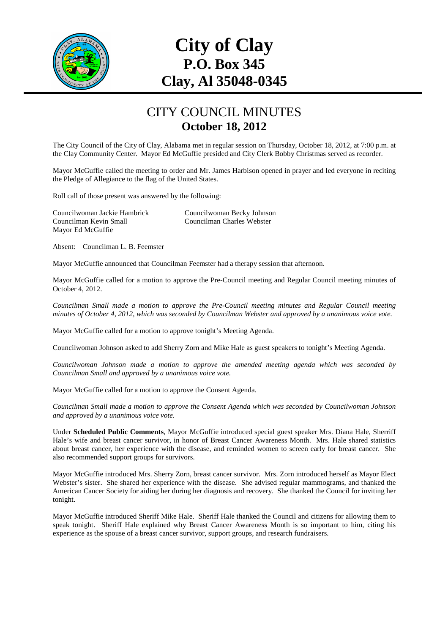

# **City of Clay P.O. Box 345 Clay, Al 35048-0345**

#### CITY COUNCIL MINUTES **October 18, 2012**

The City Council of the City of Clay, Alabama met in regular session on Thursday, October 18, 2012, at 7:00 p.m. at the Clay Community Center. Mayor Ed McGuffie presided and City Clerk Bobby Christmas served as recorder.

Mayor McGuffie called the meeting to order and Mr. James Harbison opened in prayer and led everyone in reciting the Pledge of Allegiance to the flag of the United States.

Roll call of those present was answered by the following:

Councilwoman Jackie Hambrick Councilwoman Becky Johnson Councilman Kevin Small Councilman Charles Webster Mayor Ed McGuffie

Absent: Councilman L. B. Feemster

Mayor McGuffie announced that Councilman Feemster had a therapy session that afternoon.

Mayor McGuffie called for a motion to approve the Pre-Council meeting and Regular Council meeting minutes of October 4, 2012.

*Councilman Small made a motion to approve the Pre-Council meeting minutes and Regular Council meeting minutes of October 4, 2012, which was seconded by Councilman Webster and approved by a unanimous voice vote.* 

Mayor McGuffie called for a motion to approve tonight's Meeting Agenda.

Councilwoman Johnson asked to add Sherry Zorn and Mike Hale as guest speakers to tonight's Meeting Agenda.

*Councilwoman Johnson made a motion to approve the amended meeting agenda which was seconded by Councilman Small and approved by a unanimous voice vote.* 

Mayor McGuffie called for a motion to approve the Consent Agenda.

*Councilman Small made a motion to approve the Consent Agenda which was seconded by Councilwoman Johnson and approved by a unanimous voice vote.* 

Under **Scheduled Public Comments**, Mayor McGuffie introduced special guest speaker Mrs. Diana Hale, Sherriff Hale's wife and breast cancer survivor, in honor of Breast Cancer Awareness Month. Mrs. Hale shared statistics about breast cancer, her experience with the disease, and reminded women to screen early for breast cancer. She also recommended support groups for survivors.

Mayor McGuffie introduced Mrs. Sherry Zorn, breast cancer survivor. Mrs. Zorn introduced herself as Mayor Elect Webster's sister. She shared her experience with the disease. She advised regular mammograms, and thanked the American Cancer Society for aiding her during her diagnosis and recovery. She thanked the Council for inviting her tonight.

Mayor McGuffie introduced Sheriff Mike Hale. Sheriff Hale thanked the Council and citizens for allowing them to speak tonight. Sheriff Hale explained why Breast Cancer Awareness Month is so important to him, citing his experience as the spouse of a breast cancer survivor, support groups, and research fundraisers.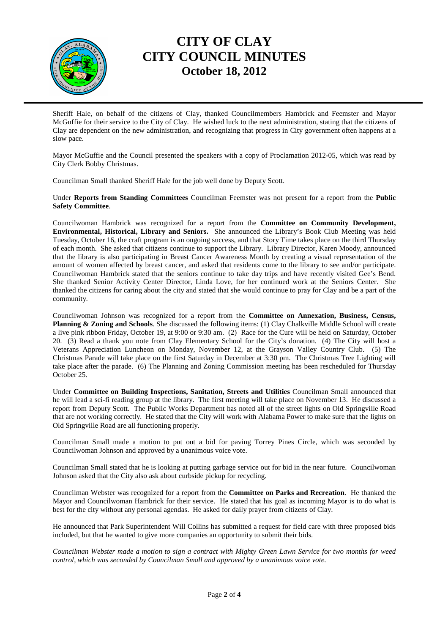

## **CITY OF CLAY CITY COUNCIL MINUTES October 18, 2012**

Sheriff Hale, on behalf of the citizens of Clay, thanked Councilmembers Hambrick and Feemster and Mayor McGuffie for their service to the City of Clay. He wished luck to the next administration, stating that the citizens of Clay are dependent on the new administration, and recognizing that progress in City government often happens at a slow pace.

Mayor McGuffie and the Council presented the speakers with a copy of Proclamation 2012-05, which was read by City Clerk Bobby Christmas.

Councilman Small thanked Sheriff Hale for the job well done by Deputy Scott.

Under **Reports from Standing Committees** Councilman Feemster was not present for a report from the **Public Safety Committee**.

Councilwoman Hambrick was recognized for a report from the **Committee on Community Development, Environmental, Historical, Library and Seniors.** She announced the Library's Book Club Meeting was held Tuesday, October 16, the craft program is an ongoing success, and that Story Time takes place on the third Thursday of each month. She asked that citizens continue to support the Library. Library Director, Karen Moody, announced that the library is also participating in Breast Cancer Awareness Month by creating a visual representation of the amount of women affected by breast cancer, and asked that residents come to the library to see and/or participate. Councilwoman Hambrick stated that the seniors continue to take day trips and have recently visited Gee's Bend. She thanked Senior Activity Center Director, Linda Love, for her continued work at the Seniors Center. She thanked the citizens for caring about the city and stated that she would continue to pray for Clay and be a part of the community.

Councilwoman Johnson was recognized for a report from the **Committee on Annexation, Business, Census, Planning & Zoning and Schools**. She discussed the following items: (1) Clay Chalkville Middle School will create a live pink ribbon Friday, October 19, at 9:00 or 9:30 am. (2) Race for the Cure will be held on Saturday, October 20. (3) Read a thank you note from Clay Elementary School for the City's donation. (4) The City will host a Veterans Appreciation Luncheon on Monday, November 12, at the Grayson Valley Country Club. (5) The Christmas Parade will take place on the first Saturday in December at 3:30 pm. The Christmas Tree Lighting will take place after the parade. (6) The Planning and Zoning Commission meeting has been rescheduled for Thursday October 25.

Under **Committee on Building Inspections, Sanitation, Streets and Utilities** Councilman Small announced that he will lead a sci-fi reading group at the library. The first meeting will take place on November 13. He discussed a report from Deputy Scott. The Public Works Department has noted all of the street lights on Old Springville Road that are not working correctly. He stated that the City will work with Alabama Power to make sure that the lights on Old Springville Road are all functioning properly.

Councilman Small made a motion to put out a bid for paving Torrey Pines Circle, which was seconded by Councilwoman Johnson and approved by a unanimous voice vote.

Councilman Small stated that he is looking at putting garbage service out for bid in the near future. Councilwoman Johnson asked that the City also ask about curbside pickup for recycling.

Councilman Webster was recognized for a report from the **Committee on Parks and Recreation**. He thanked the Mayor and Councilwoman Hambrick for their service. He stated that his goal as incoming Mayor is to do what is best for the city without any personal agendas. He asked for daily prayer from citizens of Clay.

He announced that Park Superintendent Will Collins has submitted a request for field care with three proposed bids included, but that he wanted to give more companies an opportunity to submit their bids.

*Councilman Webster made a motion to sign a contract with Mighty Green Lawn Service for two months for weed control, which was seconded by Councilman Small and approved by a unanimous voice vote.*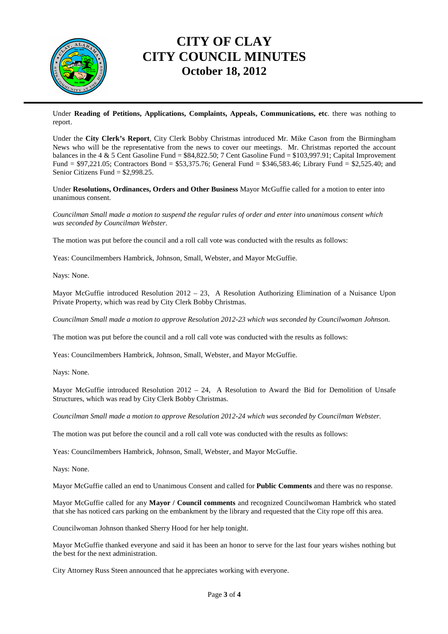

#### **CITY OF CLAY CITY COUNCIL MINUTES October 18, 2012**

Under **Reading of Petitions, Applications, Complaints, Appeals, Communications, etc**. there was nothing to report.

Under the **City Clerk's Report**, City Clerk Bobby Christmas introduced Mr. Mike Cason from the Birmingham News who will be the representative from the news to cover our meetings. Mr. Christmas reported the account balances in the 4 & 5 Cent Gasoline Fund = \$84,822.50; 7 Cent Gasoline Fund = \$103,997.91; Capital Improvement Fund = \$97,221.05; Contractors Bond = \$53,375.76; General Fund = \$346,583.46; Library Fund = \$2,525.40; and Senior Citizens Fund = \$2,998.25.

Under **Resolutions, Ordinances, Orders and Other Business** Mayor McGuffie called for a motion to enter into unanimous consent.

*Councilman Small made a motion to suspend the regular rules of order and enter into unanimous consent which was seconded by Councilman Webster*.

The motion was put before the council and a roll call vote was conducted with the results as follows:

Yeas: Councilmembers Hambrick, Johnson, Small, Webster, and Mayor McGuffie.

Nays: None.

Mayor McGuffie introduced Resolution 2012 – 23, A Resolution Authorizing Elimination of a Nuisance Upon Private Property, which was read by City Clerk Bobby Christmas.

*Councilman Small made a motion to approve Resolution 2012-23 which was seconded by Councilwoman Johnson.* 

The motion was put before the council and a roll call vote was conducted with the results as follows:

Yeas: Councilmembers Hambrick, Johnson, Small, Webster, and Mayor McGuffie.

Nays: None.

Mayor McGuffie introduced Resolution 2012 – 24, A Resolution to Award the Bid for Demolition of Unsafe Structures, which was read by City Clerk Bobby Christmas.

*Councilman Small made a motion to approve Resolution 2012-24 which was seconded by Councilman Webster.*

The motion was put before the council and a roll call vote was conducted with the results as follows:

Yeas: Councilmembers Hambrick, Johnson, Small, Webster, and Mayor McGuffie.

Nays: None.

Mayor McGuffie called an end to Unanimous Consent and called for **Public Comments** and there was no response.

Mayor McGuffie called for any **Mayor / Council comments** and recognized Councilwoman Hambrick who stated that she has noticed cars parking on the embankment by the library and requested that the City rope off this area.

Councilwoman Johnson thanked Sherry Hood for her help tonight.

Mayor McGuffie thanked everyone and said it has been an honor to serve for the last four years wishes nothing but the best for the next administration.

City Attorney Russ Steen announced that he appreciates working with everyone.